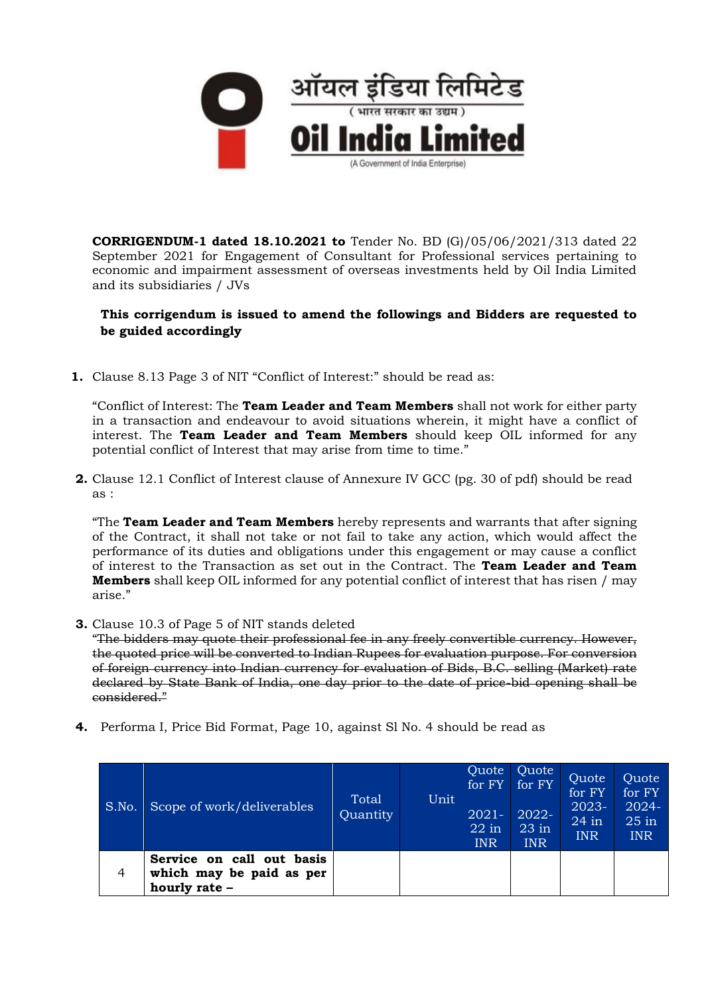

**CORRIGENDUM-1 dated 18.10.2021 to** Tender No. BD (G)/05/06/2021/313 dated 22 September 2021 for Engagement of Consultant for Professional services pertaining to economic and impairment assessment of overseas investments held by Oil India Limited and its subsidiaries / JVs

## **This corrigendum is issued to amend the followings and Bidders are requested to be guided accordingly**

**1.** Clause 8.13 Page 3 of NIT "Conflict of Interest:" should be read as:

"Conflict of Interest: The **Team Leader and Team Members** shall not work for either party in a transaction and endeavour to avoid situations wherein, it might have a conflict of interest. The **Team Leader and Team Members** should keep OIL informed for any potential conflict of Interest that may arise from time to time."

**2.** Clause 12.1 Conflict of Interest clause of Annexure IV GCC (pg. 30 of pdf) should be read as :

"The **Team Leader and Team Members** hereby represents and warrants that after signing of the Contract, it shall not take or not fail to take any action, which would affect the performance of its duties and obligations under this engagement or may cause a conflict of interest to the Transaction as set out in the Contract. The **Team Leader and Team Members** shall keep OIL informed for any potential conflict of interest that has risen / may arise."

**3.** Clause 10.3 of Page 5 of NIT stands deleted

"The bidders may quote their professional fee in any freely convertible currency. However, the quoted price will be converted to Indian Rupees for evaluation purpose. For conversion of foreign currency into Indian currency for evaluation of Bids, B.C. selling (Market) rate declared by State Bank of India, one day prior to the date of price-bid opening shall be considered."

**4.** Performa I, Price Bid Format, Page 10, against Sl No. 4 should be read as

| S.No.          | Scope of work/deliverables                                             | Total<br>Quantity | Unit | Quote<br>for FY<br>$2021 -$<br>$22$ in<br><b>INR</b> | Quote<br>for FY<br>2022-<br>$23$ in<br><b>INR</b> | Quote<br>for FY<br>2023-<br>$24$ in<br><b>INR</b> | Quote<br>for FY<br>$2024 -$<br>$25$ in<br><b>INR</b> |
|----------------|------------------------------------------------------------------------|-------------------|------|------------------------------------------------------|---------------------------------------------------|---------------------------------------------------|------------------------------------------------------|
| $\overline{4}$ | Service on call out basis<br>which may be paid as per<br>hourly rate - |                   |      |                                                      |                                                   |                                                   |                                                      |